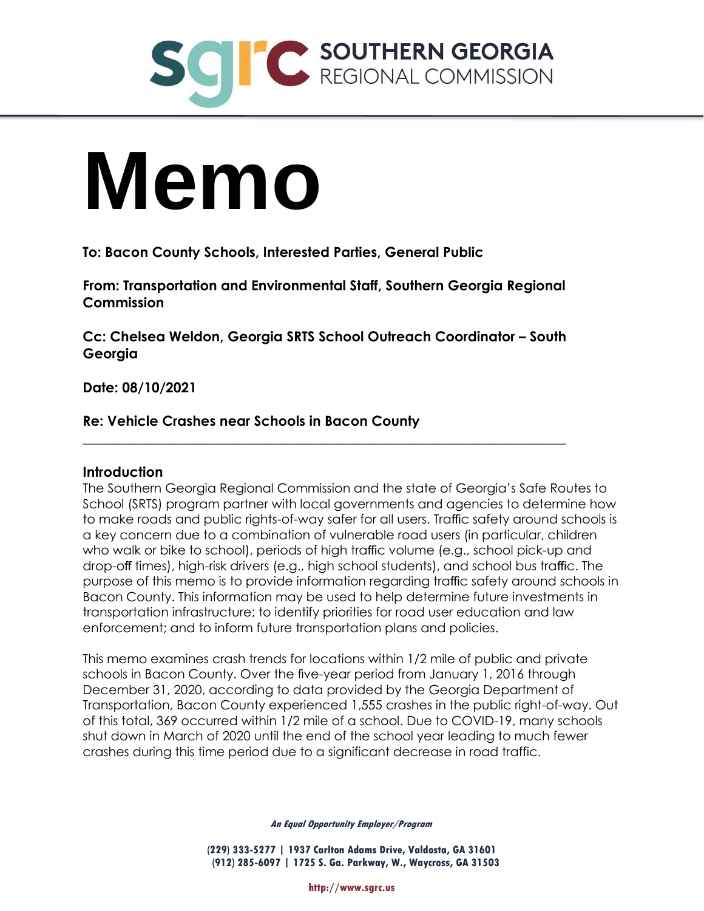

# **Memo**

**To: Bacon County Schools, Interested Parties, General Public** 

**From: Transportation and Environmental Staff, Southern Georgia Regional Commission** 

**Cc: Chelsea Weldon, Georgia SRTS School Outreach Coordinator – South Georgia** 

\_\_\_\_\_\_\_\_\_\_\_\_\_\_\_\_\_\_\_\_\_\_\_\_\_\_\_\_\_\_\_\_\_\_\_\_\_\_\_\_\_\_\_\_\_\_\_\_\_\_\_\_\_\_\_\_\_\_\_\_\_\_\_\_\_\_\_\_\_\_

**Date: 08/10/2021** 

# **Re: Vehicle Crashes near Schools in Bacon County**

#### **Introduction**

The Southern Georgia Regional Commission and the state of Georgia's Safe Routes to School (SRTS) program partner with local governments and agencies to determine how to make roads and public rights-of-way safer for all users. Traffic safety around schools is a key concern due to a combination of vulnerable road users (in particular, children who walk or bike to school), periods of high traffic volume (e.g., school pick-up and drop-off times), high-risk drivers (e.g., high school students), and school bus traffic. The purpose of this memo is to provide information regarding traffic safety around schools in Bacon County. This information may be used to help determine future investments in transportation infrastructure; to identify priorities for road user education and law enforcement; and to inform future transportation plans and policies.

This memo examines crash trends for locations within 1/2 mile of public and private schools in Bacon County. Over the five-year period from January 1, 2016 through December 31, 2020, according to data provided by the Georgia Department of Transportation, Bacon County experienced 1,555 crashes in the public right-of-way. Out of this total, 369 occurred within 1/2 mile of a school. Due to COVID-19, many schools shut down in March of 2020 until the end of the school year leading to much fewer crashes during this time period due to a significant decrease in road traffic.

**An Equal Opportunity Employer/Program** 

**(229) 333-5277 | 1937 Carlton Adams Drive, Valdosta, GA 31601 (912) 285-6097 | 1725 S. Ga. Parkway, W., Waycross, GA 31503**

**http://www.sgrc.us**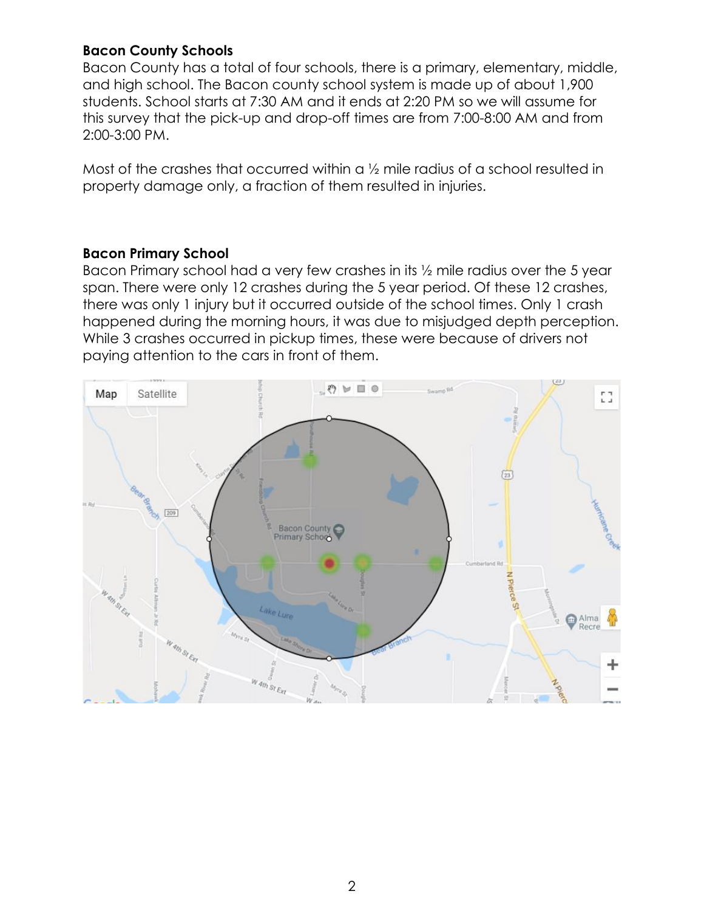# **Bacon County Schools**

Bacon County has a total of four schools, there is a primary, elementary, middle, and high school. The Bacon county school system is made up of about 1,900 students. School starts at 7:30 AM and it ends at 2:20 PM so we will assume for this survey that the pick-up and drop-off times are from 7:00-8:00 AM and from 2:00-3:00 PM.

Most of the crashes that occurred within a ½ mile radius of a school resulted in property damage only, a fraction of them resulted in injuries.

# **Bacon Primary School**

Bacon Primary school had a very few crashes in its ½ mile radius over the 5 year span. There were only 12 crashes during the 5 year period. Of these 12 crashes, there was only 1 injury but it occurred outside of the school times. Only 1 crash happened during the morning hours, it was due to misjudged depth perception. While 3 crashes occurred in pickup times, these were because of drivers not paying attention to the cars in front of them.

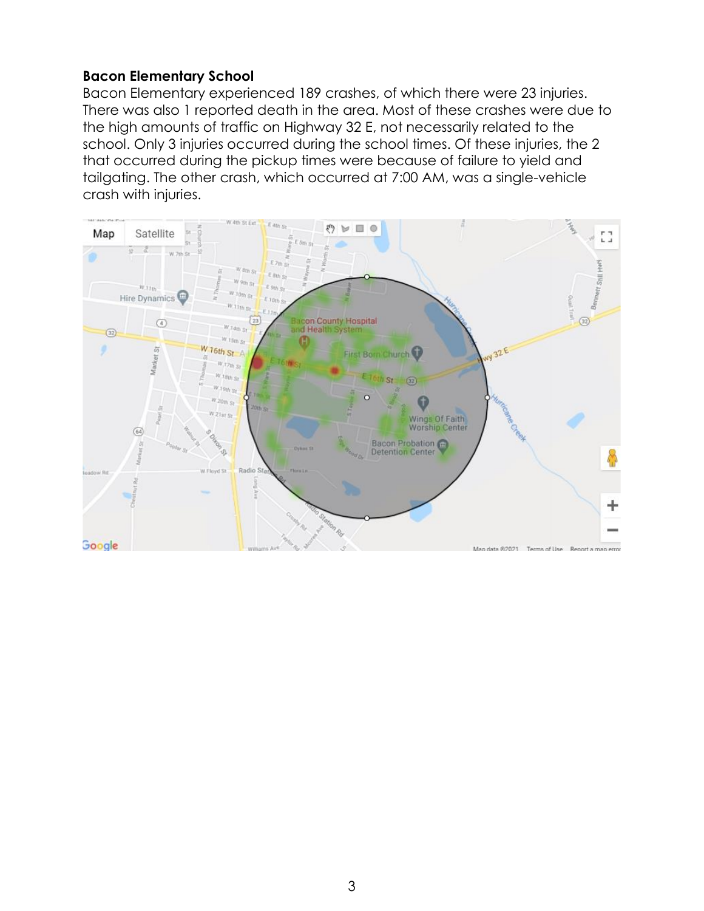### **Bacon Elementary School**

Bacon Elementary experienced 189 crashes, of which there were 23 injuries. There was also 1 reported death in the area. Most of these crashes were due to the high amounts of traffic on Highway 32 E, not necessarily related to the school. Only 3 injuries occurred during the school times. Of these injuries, the 2 that occurred during the pickup times were because of failure to yield and tailgating. The other crash, which occurred at 7:00 AM, was a single-vehicle crash with injuries.